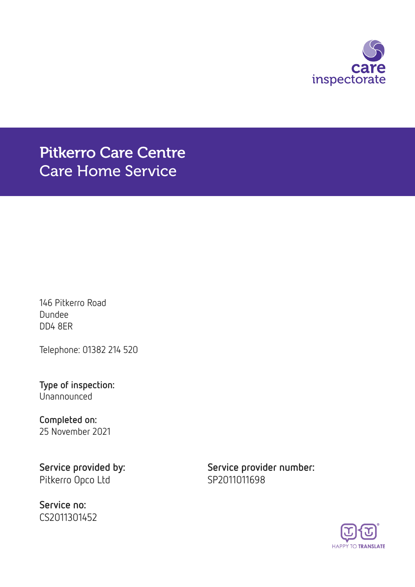

Pitkerro Care Centre Care Home Service

146 Pitkerro Road Dundee DD4 8ER

Telephone: 01382 214 520

Type of inspection: Unannounced

Completed on: 25 November 2021

Pitkerro Opco Ltd SP2011011698

Service no: CS2011301452

Service provided by: Service provider number:

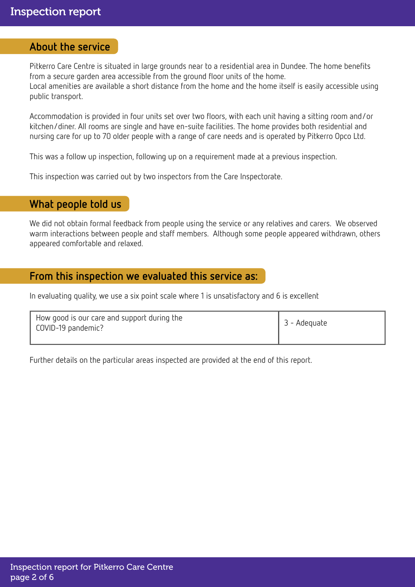### About the service

Pitkerro Care Centre is situated in large grounds near to a residential area in Dundee. The home benefits from a secure garden area accessible from the ground floor units of the home. Local amenities are available a short distance from the home and the home itself is easily accessible using public transport.

Accommodation is provided in four units set over two floors, with each unit having a sitting room and/or kitchen/diner. All rooms are single and have en-suite facilities. The home provides both residential and nursing care for up to 70 older people with a range of care needs and is operated by Pitkerro Opco Ltd.

This was a follow up inspection, following up on a requirement made at a previous inspection.

This inspection was carried out by two inspectors from the Care Inspectorate.

## What people told us

We did not obtain formal feedback from people using the service or any relatives and carers. We observed warm interactions between people and staff members. Although some people appeared withdrawn, others appeared comfortable and relaxed.

## From this inspection we evaluated this service as:

In evaluating quality, we use a six point scale where 1 is unsatisfactory and 6 is excellent

Further details on the particular areas inspected are provided at the end of this report.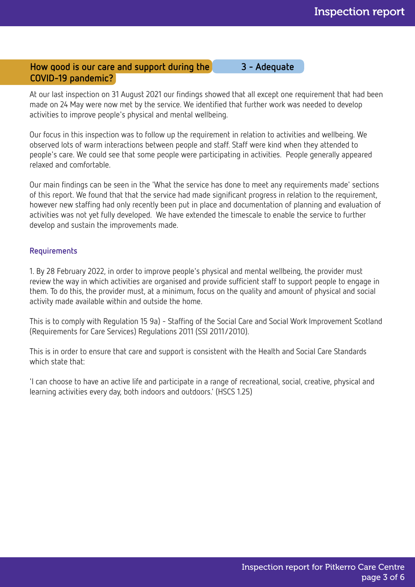## How good is our care and support during the 3 - Adequate COVID-19 pandemic?

At our last inspection on 31 August 2021 our findings showed that all except one requirement that had been made on 24 May were now met by the service. We identified that further work was needed to develop activities to improve people's physical and mental wellbeing.

Our focus in this inspection was to follow up the requirement in relation to activities and wellbeing. We observed lots of warm interactions between people and staff. Staff were kind when they attended to people's care. We could see that some people were participating in activities. People generally appeared relaxed and comfortable.

Our main findings can be seen in the 'What the service has done to meet any requirements made' sections of this report. We found that that the service had made significant progress in relation to the requirement, however new staffing had only recently been put in place and documentation of planning and evaluation of activities was not yet fully developed. We have extended the timescale to enable the service to further develop and sustain the improvements made.

#### Requirements

1. By 28 February 2022, in order to improve people's physical and mental wellbeing, the provider must review the way in which activities are organised and provide sufficient staff to support people to engage in them. To do this, the provider must, at a minimum, focus on the quality and amount of physical and social activity made available within and outside the home.

This is to comply with Regulation 15 9a) - Staffing of the Social Care and Social Work Improvement Scotland (Requirements for Care Services) Regulations 2011 (SSI 2011/2010).

This is in order to ensure that care and support is consistent with the Health and Social Care Standards which state that:

'I can choose to have an active life and participate in a range of recreational, social, creative, physical and learning activities every day, both indoors and outdoors.' (HSCS 1.25)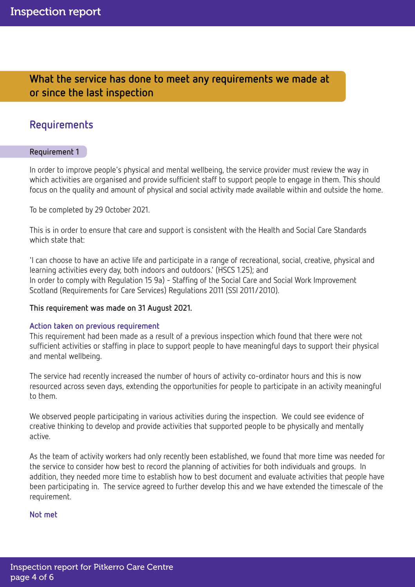What the service has done to meet any requirements we made at or since the last inspection

## Requirements

#### Requirement 1

In order to improve people's physical and mental wellbeing, the service provider must review the way in which activities are organised and provide sufficient staff to support people to engage in them. This should focus on the quality and amount of physical and social activity made available within and outside the home.

To be completed by 29 October 2021.

This is in order to ensure that care and support is consistent with the Health and Social Care Standards which state that:

'I can choose to have an active life and participate in a range of recreational, social, creative, physical and learning activities every day, both indoors and outdoors.' (HSCS 1.25); and In order to comply with Regulation 15 9a) - Staffing of the Social Care and Social Work Improvement Scotland (Requirements for Care Services) Regulations 2011 (SSI 2011/2010).

#### This requirement was made on 31 August 2021.

#### Action taken on previous requirement

This requirement had been made as a result of a previous inspection which found that there were not sufficient activities or staffing in place to support people to have meaningful days to support their physical and mental wellbeing.

The service had recently increased the number of hours of activity co-ordinator hours and this is now resourced across seven days, extending the opportunities for people to participate in an activity meaningful to them.

We observed people participating in various activities during the inspection. We could see evidence of creative thinking to develop and provide activities that supported people to be physically and mentally active.

As the team of activity workers had only recently been established, we found that more time was needed for the service to consider how best to record the planning of activities for both individuals and groups. In addition, they needed more time to establish how to best document and evaluate activities that people have been participating in. The service agreed to further develop this and we have extended the timescale of the requirement.

#### Not met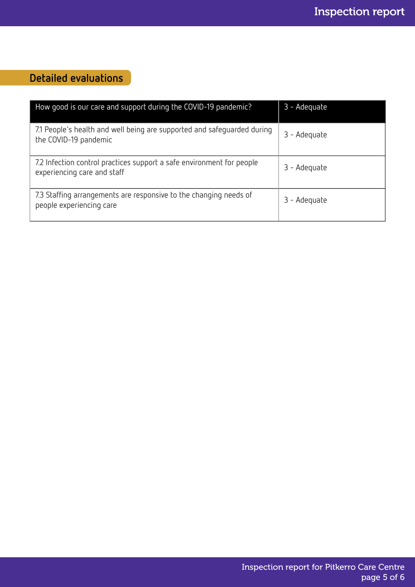# Detailed evaluations

| How good is our care and support during the COVID-19 pandemic?                                       | 3 - Adequate |
|------------------------------------------------------------------------------------------------------|--------------|
| 7.1 People's health and well being are supported and safeguarded during<br>the COVID-19 pandemic     | 3 - Adequate |
| 7.2 Infection control practices support a safe environment for people<br>experiencing care and staff | 3 - Adequate |
| 7.3 Staffing arrangements are responsive to the changing needs of<br>people experiencing care        | 3 - Adequate |